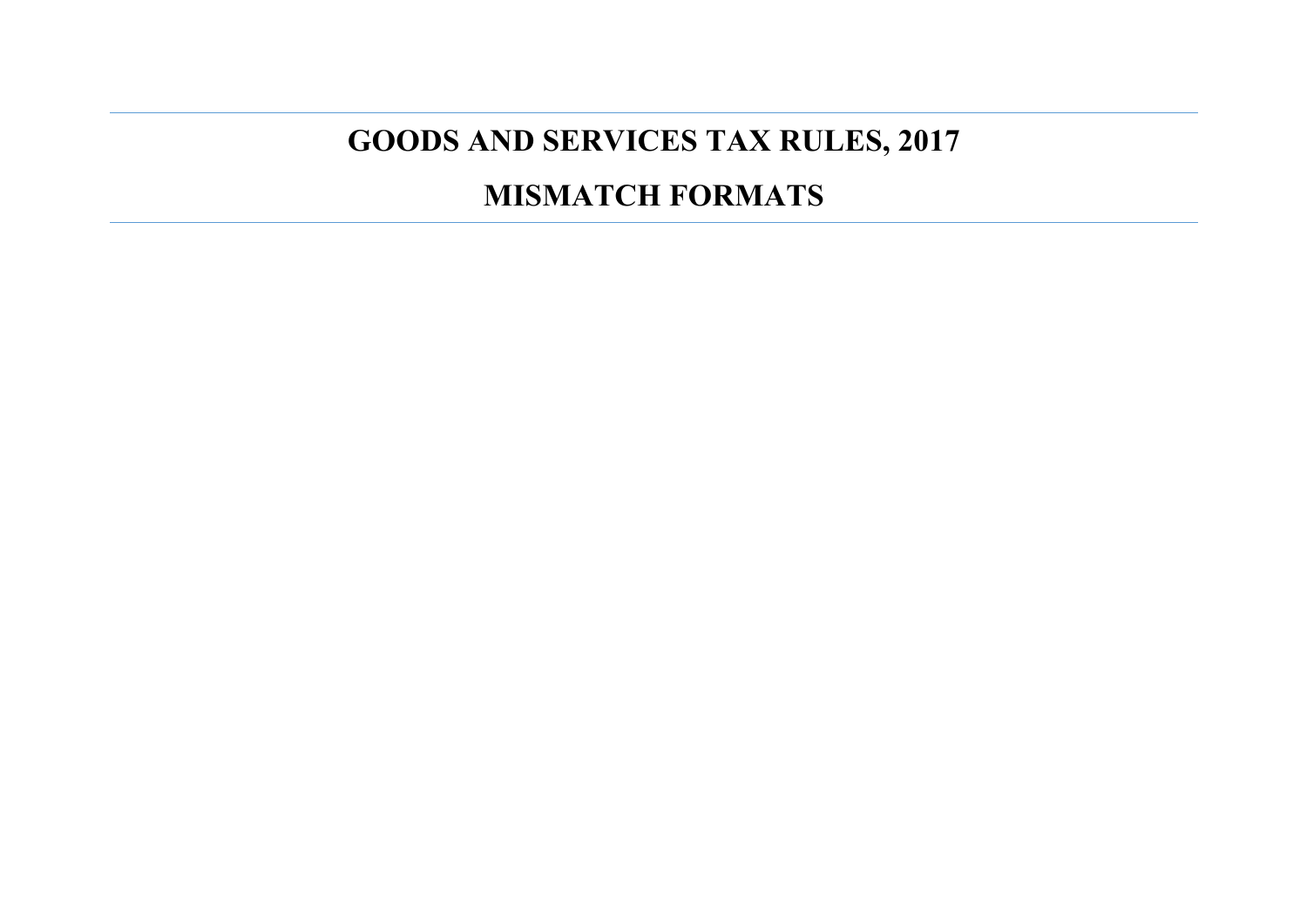## **GOODS AND SERVICES TAX RULES, 2017**

## **MISMATCH FORMATS**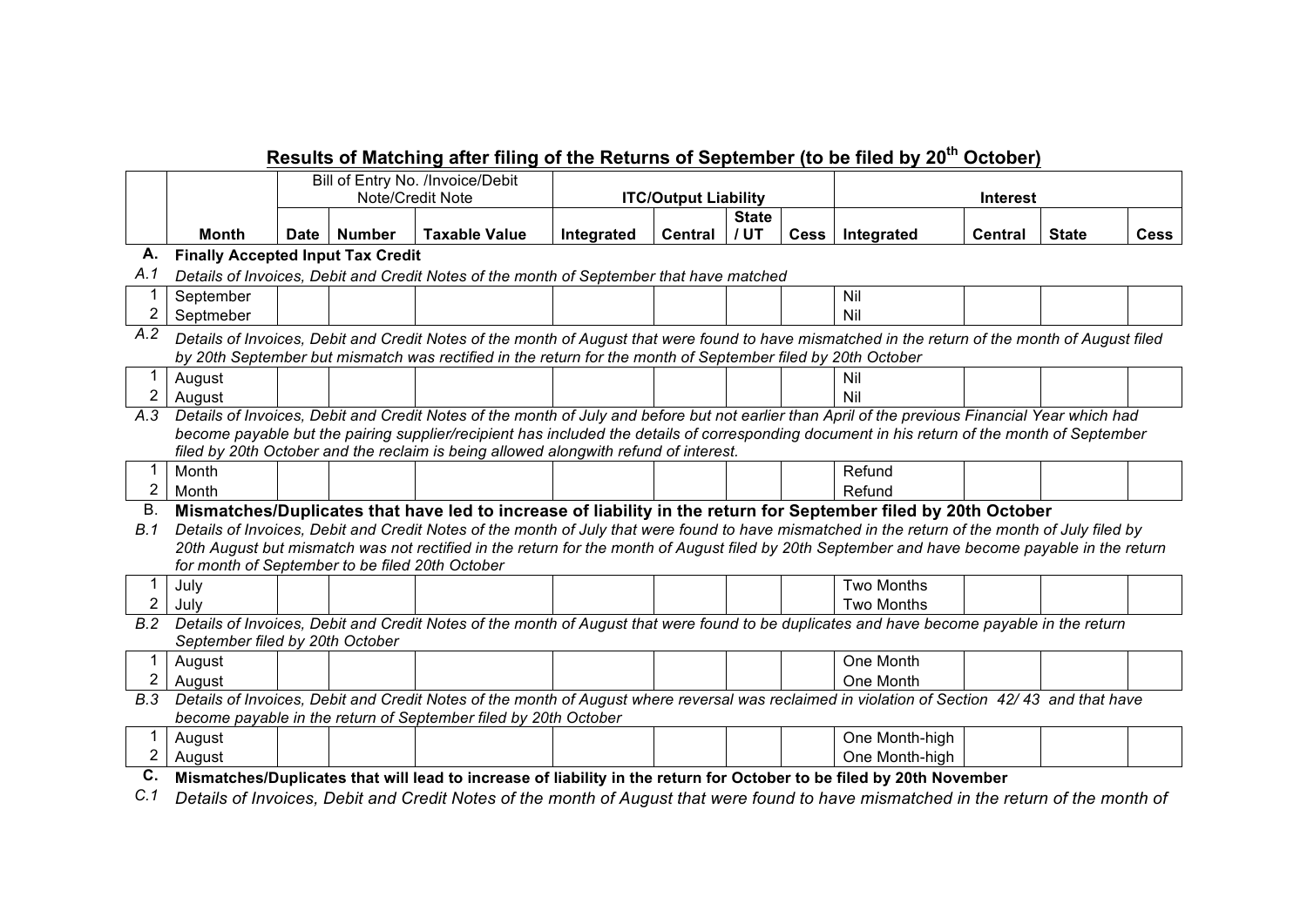|                |                                                                                                                                                                                                                                                                 |                  |        | Results of Matching after filing of the Returns of September (to be filed by 20 <sup>th</sup> October)                                                                                                                                                                                            |                             |         |              |  |                   |                |              |             |
|----------------|-----------------------------------------------------------------------------------------------------------------------------------------------------------------------------------------------------------------------------------------------------------------|------------------|--------|---------------------------------------------------------------------------------------------------------------------------------------------------------------------------------------------------------------------------------------------------------------------------------------------------|-----------------------------|---------|--------------|--|-------------------|----------------|--------------|-------------|
|                |                                                                                                                                                                                                                                                                 |                  |        | Bill of Entry No. /Invoice/Debit                                                                                                                                                                                                                                                                  |                             |         |              |  |                   |                |              |             |
|                |                                                                                                                                                                                                                                                                 | Note/Credit Note |        |                                                                                                                                                                                                                                                                                                   | <b>ITC/Output Liability</b> |         |              |  | <b>Interest</b>   |                |              |             |
|                |                                                                                                                                                                                                                                                                 |                  |        |                                                                                                                                                                                                                                                                                                   |                             |         | <b>State</b> |  |                   |                |              |             |
|                | Month                                                                                                                                                                                                                                                           | Date             | Number | <b>Taxable Value</b>                                                                                                                                                                                                                                                                              | Integrated                  | Central | / UT         |  | Cess   Integrated | <b>Central</b> | <b>State</b> | <b>Cess</b> |
| А.             | <b>Finally Accepted Input Tax Credit</b>                                                                                                                                                                                                                        |                  |        |                                                                                                                                                                                                                                                                                                   |                             |         |              |  |                   |                |              |             |
| A.1            |                                                                                                                                                                                                                                                                 |                  |        | Details of Invoices, Debit and Credit Notes of the month of September that have matched                                                                                                                                                                                                           |                             |         |              |  |                   |                |              |             |
|                | September                                                                                                                                                                                                                                                       |                  |        |                                                                                                                                                                                                                                                                                                   |                             |         |              |  | Nil               |                |              |             |
| $\overline{2}$ | Septmeber                                                                                                                                                                                                                                                       |                  |        |                                                                                                                                                                                                                                                                                                   |                             |         |              |  | Nil               |                |              |             |
| A.2            | Details of Invoices, Debit and Credit Notes of the month of August that were found to have mismatched in the return of the month of August filed<br>by 20th September but mismatch was rectified in the return for the month of September filed by 20th October |                  |        |                                                                                                                                                                                                                                                                                                   |                             |         |              |  |                   |                |              |             |
|                |                                                                                                                                                                                                                                                                 |                  |        |                                                                                                                                                                                                                                                                                                   |                             |         |              |  |                   |                |              |             |
|                | August                                                                                                                                                                                                                                                          |                  |        |                                                                                                                                                                                                                                                                                                   |                             |         |              |  | Nil               |                |              |             |
| 2              | August                                                                                                                                                                                                                                                          |                  |        |                                                                                                                                                                                                                                                                                                   |                             |         |              |  | Nil               |                |              |             |
| A.3            |                                                                                                                                                                                                                                                                 |                  |        | Details of Invoices, Debit and Credit Notes of the month of July and before but not earlier than April of the previous Financial Year which had                                                                                                                                                   |                             |         |              |  |                   |                |              |             |
|                |                                                                                                                                                                                                                                                                 |                  |        | become payable but the pairing supplier/recipient has included the details of corresponding document in his return of the month of September                                                                                                                                                      |                             |         |              |  |                   |                |              |             |
|                |                                                                                                                                                                                                                                                                 |                  |        | filed by 20th October and the reclaim is being allowed alongwith refund of interest.                                                                                                                                                                                                              |                             |         |              |  |                   |                |              |             |
|                | Month                                                                                                                                                                                                                                                           |                  |        |                                                                                                                                                                                                                                                                                                   |                             |         |              |  | Refund            |                |              |             |
| $\overline{2}$ | Month                                                                                                                                                                                                                                                           |                  |        |                                                                                                                                                                                                                                                                                                   |                             |         |              |  | Refund            |                |              |             |
| В.             |                                                                                                                                                                                                                                                                 |                  |        | Mismatches/Duplicates that have led to increase of liability in the return for September filed by 20th October                                                                                                                                                                                    |                             |         |              |  |                   |                |              |             |
| B.1            |                                                                                                                                                                                                                                                                 |                  |        | Details of Invoices, Debit and Credit Notes of the month of July that were found to have mismatched in the return of the month of July filed by<br>20th August but mismatch was not rectified in the return for the month of August filed by 20th September and have become payable in the return |                             |         |              |  |                   |                |              |             |
|                | for month of September to be filed 20th October                                                                                                                                                                                                                 |                  |        |                                                                                                                                                                                                                                                                                                   |                             |         |              |  |                   |                |              |             |
|                | July                                                                                                                                                                                                                                                            |                  |        |                                                                                                                                                                                                                                                                                                   |                             |         |              |  | Two Months        |                |              |             |
| $\overline{2}$ | July                                                                                                                                                                                                                                                            |                  |        |                                                                                                                                                                                                                                                                                                   |                             |         |              |  | <b>Two Months</b> |                |              |             |
| B.2            |                                                                                                                                                                                                                                                                 |                  |        | Details of Invoices, Debit and Credit Notes of the month of August that were found to be duplicates and have become payable in the return                                                                                                                                                         |                             |         |              |  |                   |                |              |             |
|                | September filed by 20th October                                                                                                                                                                                                                                 |                  |        |                                                                                                                                                                                                                                                                                                   |                             |         |              |  |                   |                |              |             |
|                | August                                                                                                                                                                                                                                                          |                  |        |                                                                                                                                                                                                                                                                                                   |                             |         |              |  | One Month         |                |              |             |
| $\overline{2}$ | August                                                                                                                                                                                                                                                          |                  |        |                                                                                                                                                                                                                                                                                                   |                             |         |              |  | One Month         |                |              |             |
| B.3            |                                                                                                                                                                                                                                                                 |                  |        | Details of Invoices, Debit and Credit Notes of the month of August where reversal was reclaimed in violation of Section 42/43 and that have                                                                                                                                                       |                             |         |              |  |                   |                |              |             |
|                |                                                                                                                                                                                                                                                                 |                  |        | become payable in the return of September filed by 20th October                                                                                                                                                                                                                                   |                             |         |              |  |                   |                |              |             |
| 1              | August                                                                                                                                                                                                                                                          |                  |        |                                                                                                                                                                                                                                                                                                   |                             |         |              |  | One Month-high    |                |              |             |
| $\overline{2}$ | August                                                                                                                                                                                                                                                          |                  |        |                                                                                                                                                                                                                                                                                                   |                             |         |              |  | One Month-high    |                |              |             |
| C.             |                                                                                                                                                                                                                                                                 |                  |        | Mismatches/Duplicates that will lead to increase of liability in the return for October to be filed by 20th November                                                                                                                                                                              |                             |         |              |  |                   |                |              |             |

*C.1 Details of Invoices, Debit and Credit Notes of the month of August that were found to have mismatched in the return of the month of*